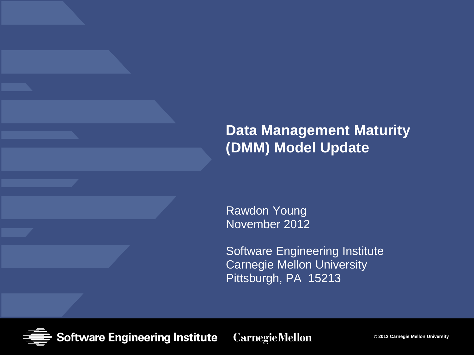#### **Data Management Maturity (DMM) Model Update**

Rawdon Young November 2012

Software Engineering Institute Carnegie Mellon University Pittsburgh, PA 15213

**Software Engineering Institute Carnegie Mellon** 

**© 2012 Carnegie Mellon University**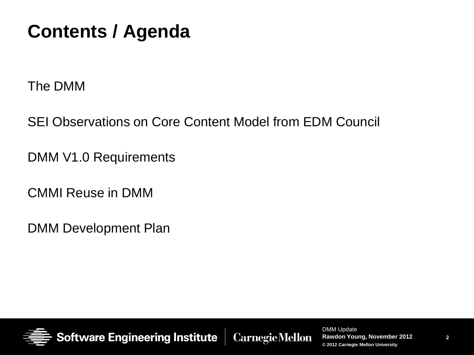### **Contents / Agenda**

The DMM

SEI Observations on Core Content Model from EDM Council

DMM V1.0 Requirements

CMMI Reuse in DMM

DMM Development Plan



**Software Engineering Institute** 

**CarnegieMellon**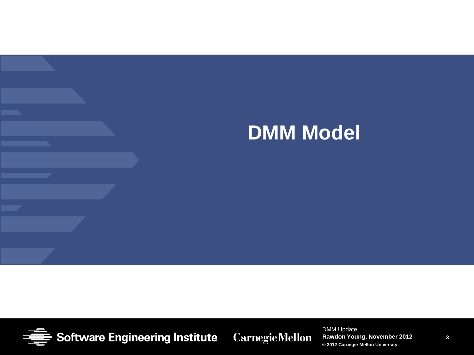## **DMM Model**



**Software Engineering Institute Carnegie Mellon** 

DMM Update **Rawdon Young, November 2012 © 2012 Carnegie Mellon University**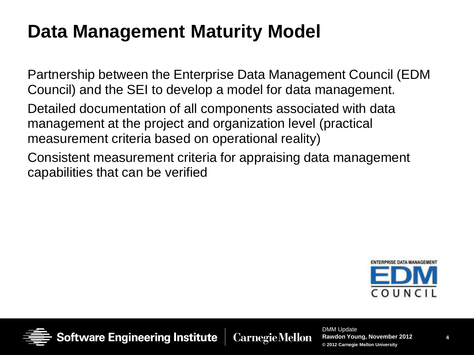### **Data Management Maturity Model**

Partnership between the Enterprise Data Management Council (EDM Council) and the SEI to develop a model for data management.

Detailed documentation of all components associated with data management at the project and organization level (practical measurement criteria based on operational reality)

Consistent measurement criteria for appraising data management capabilities that can be verified





Software Engineering Institute

**Carnegie Mellon**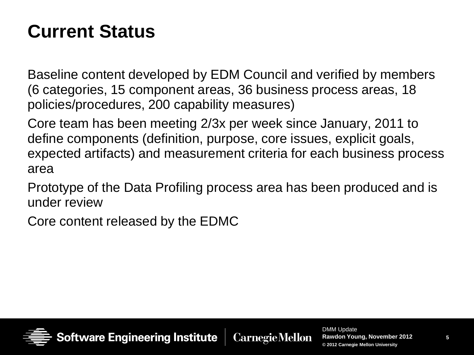### **Current Status**

Baseline content developed by EDM Council and verified by members (6 categories, 15 component areas, 36 business process areas, 18 policies/procedures, 200 capability measures)

Core team has been meeting 2/3x per week since January, 2011 to define components (definition, purpose, core issues, explicit goals, expected artifacts) and measurement criteria for each business process area

Prototype of the Data Profiling process area has been produced and is under review

Core content released by the EDMC



**Software Engineering Institute CarnegieMellon**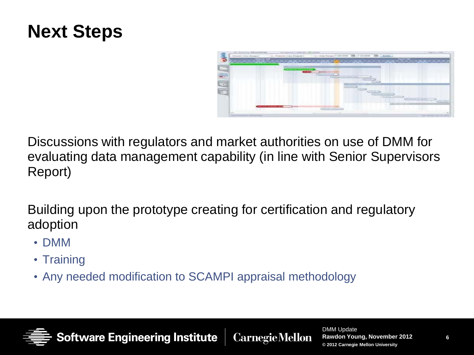### **Next Steps**



Discussions with regulators and market authorities on use of DMM for evaluating data management capability (in line with Senior Supervisors Report)

Building upon the prototype creating for certification and regulatory adoption

- DMM
- Training
- Any needed modification to SCAMPI appraisal methodology

**Software Engineering Institute**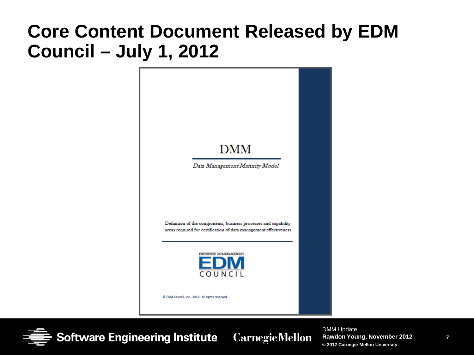### **Core Content Document Released by EDM Council – July 1, 2012**



**Software Engineering Institute Carnegie Mellon**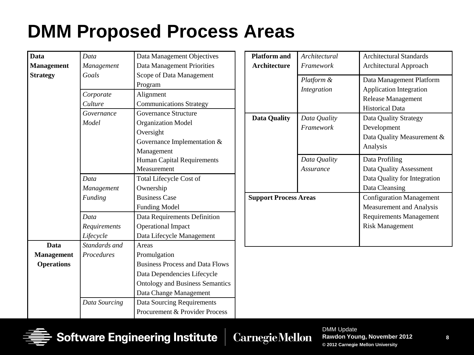### **DMM Proposed Process Areas**

| <b>Data</b>       | Data          | Data Management Objectives             |
|-------------------|---------------|----------------------------------------|
| <b>Management</b> | Management    | Data Management Priorities             |
| <b>Strategy</b>   | Goals         | Scope of Data Management               |
|                   |               | Program                                |
|                   | Corporate     | Alignment                              |
|                   | Culture       | <b>Communications Strategy</b>         |
|                   | Governance    | <b>Governance Structure</b>            |
|                   | Model         | <b>Organization Model</b>              |
|                   |               | Oversight                              |
|                   |               | Governance Implementation &            |
|                   |               | Management                             |
|                   |               | <b>Human Capital Requirements</b>      |
|                   |               | Measurement                            |
|                   | Data          | <b>Total Lifecycle Cost of</b>         |
|                   | Management    | Ownership                              |
|                   | Funding       | <b>Business Case</b>                   |
|                   |               | <b>Funding Model</b>                   |
|                   | Data          | Data Requirements Definition           |
|                   | Requirements  | <b>Operational Impact</b>              |
|                   | Lifecycle     | Data Lifecycle Management              |
| Data              | Standards and | Areas                                  |
| <b>Management</b> | Procedures    | Promulgation                           |
| <b>Operations</b> |               | <b>Business Process and Data Flows</b> |
|                   |               | Data Dependencies Lifecycle            |
|                   |               | <b>Ontology and Business Semantics</b> |
|                   |               | Data Change Management                 |
|                   | Data Sourcing | <b>Data Sourcing Requirements</b>      |
|                   |               | Procurement & Provider Process         |

| <b>Platform and</b>          | Architectural    | Architectural Standards         |
|------------------------------|------------------|---------------------------------|
| <b>Architecture</b>          | Framework        | Architectural Approach          |
|                              | Platform &       | Data Management Platform        |
|                              | Integration      | <b>Application Integration</b>  |
|                              |                  | <b>Release Management</b>       |
|                              |                  | <b>Historical Data</b>          |
| <b>Data Quality</b>          | Data Quality     | Data Quality Strategy           |
|                              | <b>Framework</b> | Development                     |
|                              |                  | Data Quality Measurement &      |
|                              |                  | Analysis                        |
|                              | Data Quality     | Data Profiling                  |
|                              | Assurance        | Data Quality Assessment         |
|                              |                  | Data Quality for Integration    |
|                              |                  | Data Cleansing                  |
| <b>Support Process Areas</b> |                  | <b>Configuration Management</b> |
|                              |                  | Measurement and Analysis        |
|                              |                  |                                 |
|                              |                  | <b>Requirements Management</b>  |
|                              |                  | <b>Risk Management</b>          |
|                              |                  |                                 |



**CarnegieMellon**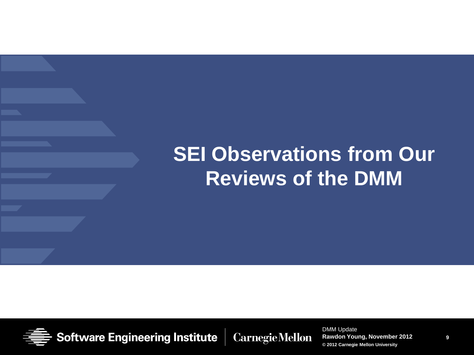## **SEI Observations from Our Reviews of the DMM**



**Software Engineering Institute Carnegie Mellon** 

DMM Update **Rawdon Young, November 2012 © 2012 Carnegie Mellon University**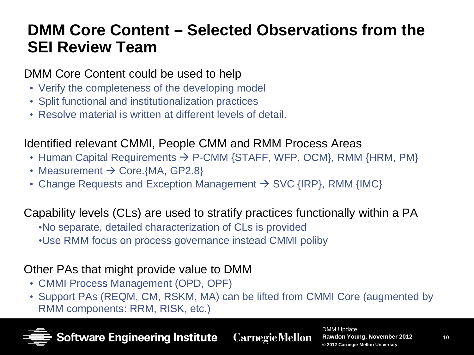#### **DMM Core Content – Selected Observations from the SEI Review Team**

#### DMM Core Content could be used to help

- Verify the completeness of the developing model
- Split functional and institutionalization practices
- Resolve material is written at different levels of detail.

#### Identified relevant CMMI, People CMM and RMM Process Areas

- Human Capital Requirements  $\rightarrow$  P-CMM {STAFF, WFP, OCM}, RMM {HRM, PM}
- Measurement  $\rightarrow$  Core.{MA, GP2.8}
- Change Requests and Exception Management  $\rightarrow$  SVC {IRP}, RMM {IMC}

#### Capability levels (CLs) are used to stratify practices functionally within a PA

- •No separate, detailed characterization of CLs is provided
- •Use RMM focus on process governance instead CMMI poliby

#### Other PAs that might provide value to DMM

- CMMI Process Management (OPD, OPF)
- Support PAs (REQM, CM, RSKM, MA) can be lifted from CMMI Core (augmented by RMM components: RRM, RISK, etc.)



Software Engineering Institute **Carnegie Mellon**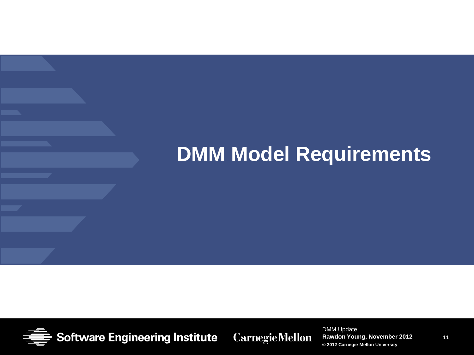## **DMM Model Requirements**



**Software Engineering Institute Carnegie Mellon**  DMM Update **Rawdon Young, November 2012 © 2012 Carnegie Mellon University**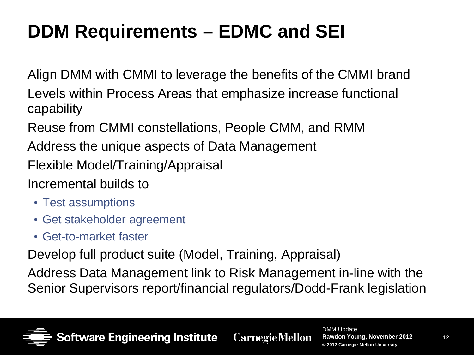## **DDM Requirements – EDMC and SEI**

Align DMM with CMMI to leverage the benefits of the CMMI brand

Levels within Process Areas that emphasize increase functional capability

Reuse from CMMI constellations, People CMM, and RMM

Address the unique aspects of Data Management

Flexible Model/Training/Appraisal

#### Incremental builds to

- Test assumptions
- Get stakeholder agreement
- Get-to-market faster

Develop full product suite (Model, Training, Appraisal)

Address Data Management link to Risk Management in-line with the Senior Supervisors report/financial regulators/Dodd-Frank legislation

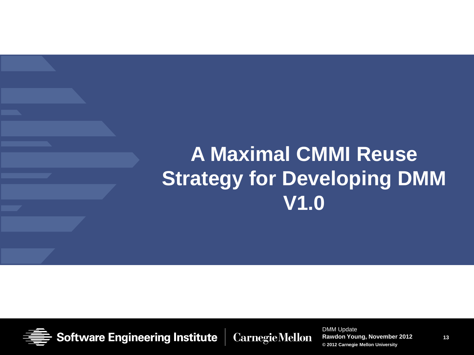## **A Maximal CMMI Reuse Strategy for Developing DMM V1.0**



**Software Engineering Institute Carnegie Mellon**  DMM Update **Rawdon Young, November 2012 © 2012 Carnegie Mellon University**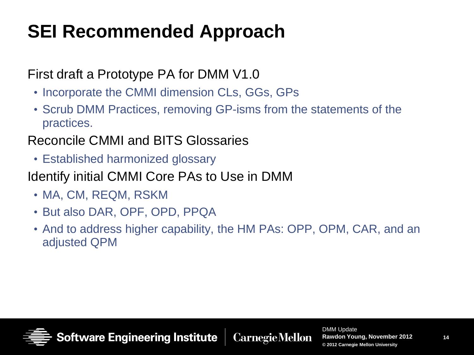## **SEI Recommended Approach**

#### First draft a Prototype PA for DMM V1.0

- Incorporate the CMMI dimension CLs, GGs, GPs
- Scrub DMM Practices, removing GP-isms from the statements of the practices.

#### Reconcile CMMI and BITS Glossaries

- Established harmonized glossary
- Identify initial CMMI Core PAs to Use in DMM
	- MA, CM, REQM, RSKM
	- But also DAR, OPF, OPD, PPQA
	- And to address higher capability, the HM PAs: OPP, OPM, CAR, and an adjusted QPM



Software Engineering Institute **Carnegie Mellon**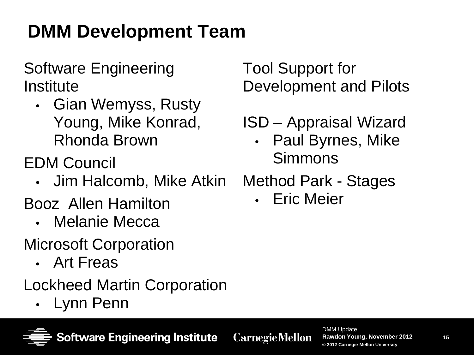## **DMM Development Team**

#### Software Engineering Institute

• Gian Wemyss, Rusty Young, Mike Konrad, Rhonda Brown

EDM Council

- Jim Halcomb, Mike Atkin
- Booz Allen Hamilton
	- Melanie Mecca
- Microsoft Corporation
	- Art Freas
- Lockheed Martin Corporation

**Software Engineering Institute** 

• Lynn Penn

Tool Support for Development and Pilots

### ISD – Appraisal Wizard

• Paul Byrnes, Mike Simmons

Method Park - Stages

• Eric Meier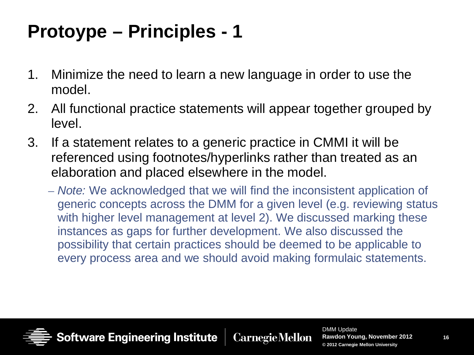### **Protoype – Principles - 1**

- 1. Minimize the need to learn a new language in order to use the model.
- 2. All functional practice statements will appear together grouped by level.
- 3. If a statement relates to a generic practice in CMMI it will be referenced using footnotes/hyperlinks rather than treated as an elaboration and placed elsewhere in the model.
	- *Note:* We acknowledged that we will find the inconsistent application of generic concepts across the DMM for a given level (e.g. reviewing status with higher level management at level 2). We discussed marking these instances as gaps for further development. We also discussed the possibility that certain practices should be deemed to be applicable to every process area and we should avoid making formulaic statements.

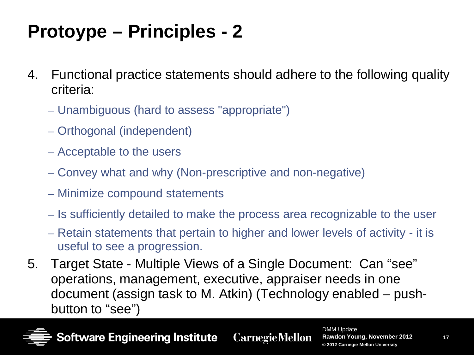## **Protoype – Principles - 2**

- 4. Functional practice statements should adhere to the following quality criteria:
	- Unambiguous (hard to assess "appropriate")
	- Orthogonal (independent)
	- Acceptable to the users
	- Convey what and why (Non-prescriptive and non-negative)
	- Minimize compound statements
	- Is sufficiently detailed to make the process area recognizable to the user
	- Retain statements that pertain to higher and lower levels of activity it is useful to see a progression.
- 5. Target State Multiple Views of a Single Document: Can "see" operations, management, executive, appraiser needs in one document (assign task to M. Atkin) (Technology enabled – pushbutton to "see")



**Software Engineering Institute Carnegie Mellon**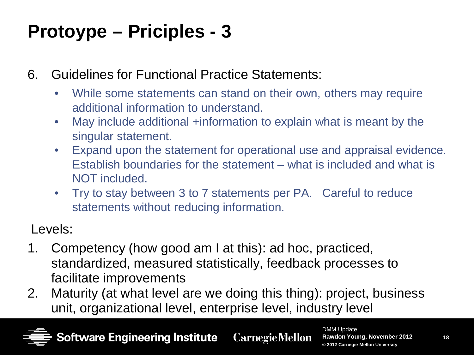### **Protoype – Priciples - 3**

- 6. Guidelines for Functional Practice Statements:
	- While some statements can stand on their own, others may require additional information to understand.
	- May include additional +information to explain what is meant by the singular statement.
	- Expand upon the statement for operational use and appraisal evidence. Establish boundaries for the statement – what is included and what is NOT included.
	- Try to stay between 3 to 7 statements per PA. Careful to reduce statements without reducing information.

Levels:

- 1. Competency (how good am I at this): ad hoc, practiced, standardized, measured statistically, feedback processes to facilitate improvements
- 2. Maturity (at what level are we doing this thing): project, business unit, organizational level, enterprise level, industry level

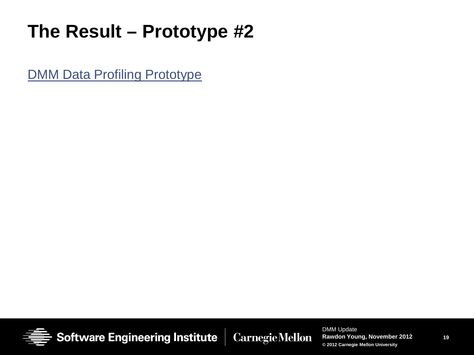### **The Result – Prototype #2**

**DMM Data Profiling Prototype** 

**Software Engineering Institute Carnegie Mellon**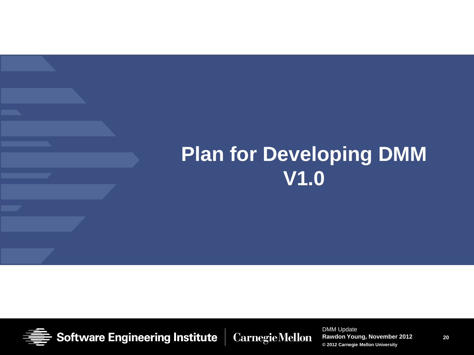### **Plan for Developing DMM V1.0**



**Software Engineering Institute Carnegie Mellon**  DMM Update **Rawdon Young, November 2012 © 2012 Carnegie Mellon University**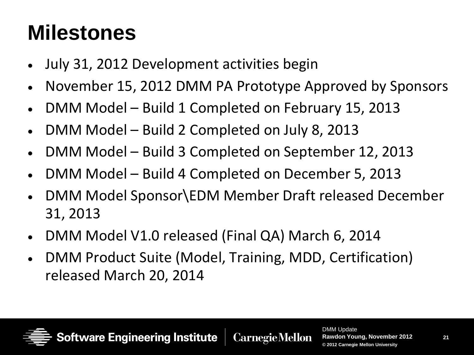## **Milestones**

- July 31, 2012 Development activities begin
- November 15, 2012 DMM PA Prototype Approved by Sponsors
- DMM Model Build 1 Completed on February 15, 2013
- DMM Model Build 2 Completed on July 8, 2013
- DMM Model Build 3 Completed on September 12, 2013
- DMM Model Build 4 Completed on December 5, 2013
- DMM Model Sponsor\EDM Member Draft released December 31, 2013
- DMM Model V1.0 released (Final QA) March 6, 2014
- DMM Product Suite (Model, Training, MDD, Certification) released March 20, 2014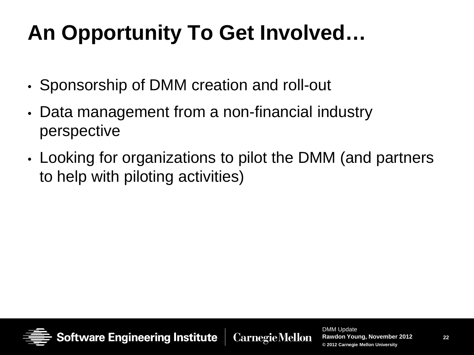# **An Opportunity To Get Involved…**

- Sponsorship of DMM creation and roll-out
- Data management from a non-financial industry perspective
- Looking for organizations to pilot the DMM (and partners to help with piloting activities)



**Carnegie Mellon**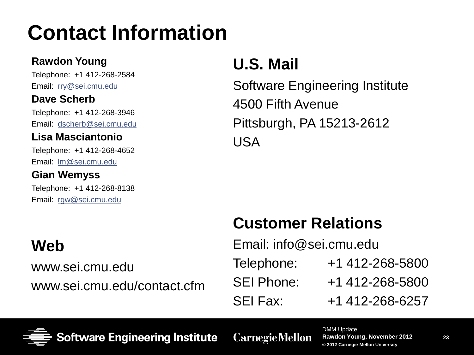## **Contact Information**

#### **Rawdon Young**

Telephone: +1 412-268-2584 Email: [rry@sei.cmu.edu](mailto:rry@sei.cmu.edu)

#### **Dave Scherb**

Telephone: +1 412-268-3946 Email: [dscherb@sei.cmu.edu](mailto:dscherb@sei.cmu.edu)

#### **Lisa Masciantonio**

Telephone: +1 412-268-4652 Email: [lm@sei.cmu.edu](mailto:rgw@sei.cmu.edu)

#### **Gian Wemyss**

Telephone: +1 412-268-8138 Email: [rgw@sei.cmu.edu](mailto:rgw@sei.cmu.edu)

#### **Web**

www.sei.cmu.edu www.sei.cmu.edu/contact.cfm

#### **U.S. Mail**

Software Engineering Institute 4500 Fifth Avenue Pittsburgh, PA 15213-2612 USA

#### **Customer Relations**

Email: info@sei.cmu.edu Telephone: +1 412-268-5800 SEI Phone: +1 412-268-5800 SEI Fax: +1 412-268-6257



**Software Engineering Institute** 

**Carnegie Mellon**